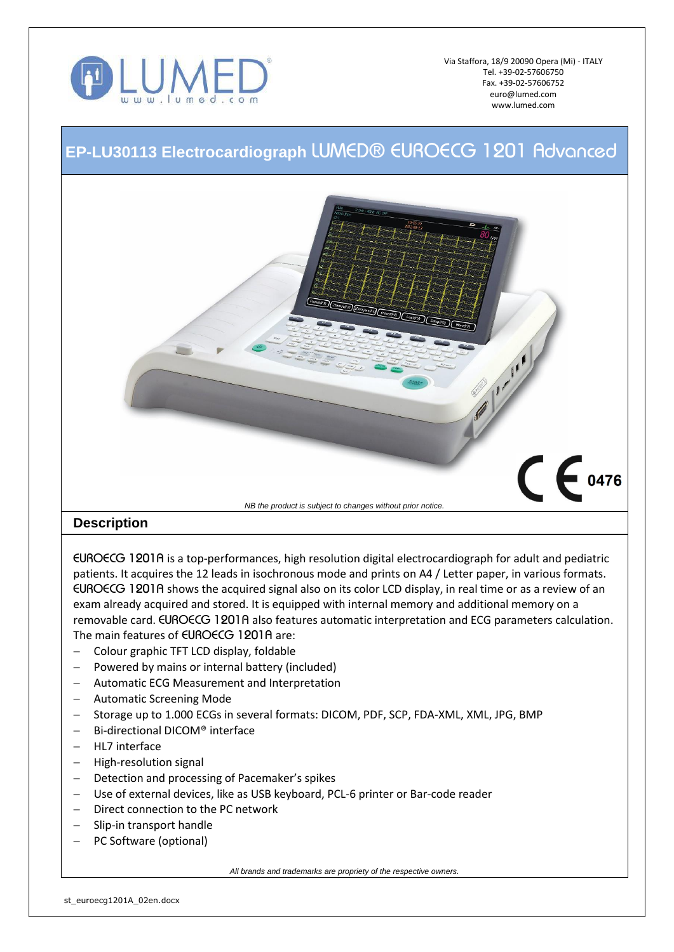

Via Staffora, 18/9 20090 Opera (Mi) - ITALY Tel. +39-02-57606750 Fax. +39-02-57606752 euro@lumed.com www.lumed.com

## **EP-LU30113 Electrocardiograph** *LUMED® EUROECG 1201 Advanced*



*EUROECG 1201A* is a top-performances, high resolution digital electrocardiograph for adult and pediatric patients. It acquires the 12 leads in isochronous mode and prints on A4 / Letter paper, in various formats. *EUROECG 1201A* shows the acquired signal also on its color LCD display, in real time or as a review of an exam already acquired and stored. It is equipped with internal memory and additional memory on a removable card. *EUROECG 1201A* also features automatic interpretation and ECG parameters calculation. The main features of *EUROECG 1201A* are:

- Colour graphic TFT LCD display, foldable
- $-$  Powered by mains or internal battery (included)
- Automatic ECG Measurement and Interpretation
- Automatic Screening Mode
- Storage up to 1.000 ECGs in several formats: DICOM, PDF, SCP, FDA-XML, XML, JPG, BMP
- Bi-directional DICOM® interface
- HL7 interface
- High-resolution signal
- Detection and processing of Pacemaker's spikes
- Use of external devices, like as USB keyboard, PCL-6 printer or Bar-code reader
- Direct connection to the PC network
- Slip-in transport handle
- PC Software (optional)

*All brands and trademarks are propriety of the respective owners.*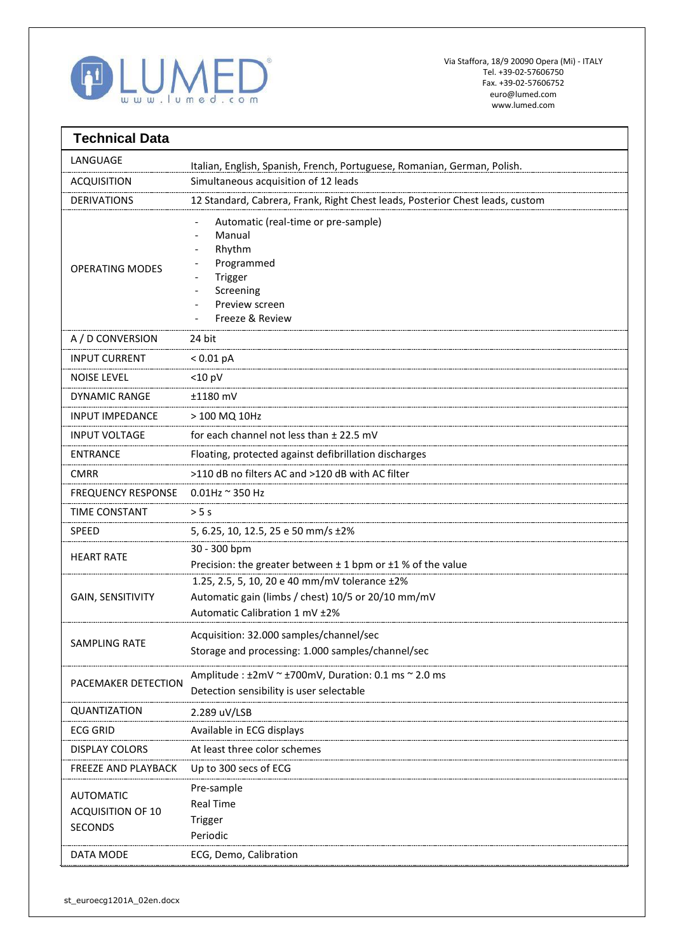

| <b>Technical Data</b>                                   |                                                                                                                                       |
|---------------------------------------------------------|---------------------------------------------------------------------------------------------------------------------------------------|
| LANGUAGE                                                | Italian, English, Spanish, French, Portuguese, Romanian, German, Polish.                                                              |
| <b>ACQUISITION</b>                                      | Simultaneous acquisition of 12 leads                                                                                                  |
| <b>DERIVATIONS</b>                                      | 12 Standard, Cabrera, Frank, Right Chest leads, Posterior Chest leads, custom                                                         |
| <b>OPERATING MODES</b>                                  | Automatic (real-time or pre-sample)<br>Manual<br>Rhythm<br>Programmed<br>Trigger<br>Screening<br>Preview screen<br>Freeze & Review    |
| A / D CONVERSION                                        | 24 bit                                                                                                                                |
| <b>INPUT CURRENT</b>                                    | $< 0.01$ pA                                                                                                                           |
| <b>NOISE LEVEL</b>                                      | $<$ 10 pV                                                                                                                             |
| <b>DYNAMIC RANGE</b>                                    | ±1180 mV                                                                                                                              |
| INPUT IMPEDANCE                                         | > 100 MQ 10Hz                                                                                                                         |
| <b>INPUT VOLTAGE</b>                                    | for each channel not less than ± 22.5 mV                                                                                              |
| <b>ENTRANCE</b>                                         | Floating, protected against defibrillation discharges                                                                                 |
| <b>CMRR</b>                                             | >110 dB no filters AC and >120 dB with AC filter                                                                                      |
| <b>FREQUENCY RESPONSE</b>                               | $0.01$ Hz $\sim$ 350 Hz                                                                                                               |
| <b>TIME CONSTANT</b>                                    | > 5s                                                                                                                                  |
| SPEED                                                   | 5, 6.25, 10, 12.5, 25 e 50 mm/s ±2%                                                                                                   |
| <b>HEART RATE</b>                                       | 30 - 300 bpm<br>Precision: the greater between $\pm$ 1 bpm or $\pm$ 1 % of the value                                                  |
| <b>GAIN, SENSITIVITY</b>                                | 1.25, 2.5, 5, 10, 20 e 40 mm/mV tolerance ±2%<br>Automatic gain (limbs / chest) 10/5 or 20/10 mm/mV<br>Automatic Calibration 1 mV ±2% |
| <b>SAMPLING RATE</b>                                    | Acquisition: 32.000 samples/channel/sec<br>Storage and processing: 1.000 samples/channel/sec                                          |
| PACEMAKER DETECTION                                     | Amplitude : $\pm 2$ mV ~ $\pm 700$ mV, Duration: 0.1 ms ~ 2.0 ms<br>Detection sensibility is user selectable                          |
| QUANTIZATION                                            | 2.289 uV/LSB                                                                                                                          |
| <b>ECG GRID</b>                                         | Available in ECG displays                                                                                                             |
| <b>DISPLAY COLORS</b>                                   | At least three color schemes                                                                                                          |
| FREEZE AND PLAYBACK                                     | Up to 300 secs of ECG                                                                                                                 |
| <b>AUTOMATIC</b><br>ACQUISITION OF 10<br><b>SECONDS</b> | Pre-sample<br><b>Real Time</b><br>Trigger<br>Periodic                                                                                 |
| DATA MODE                                               | ECG, Demo, Calibration                                                                                                                |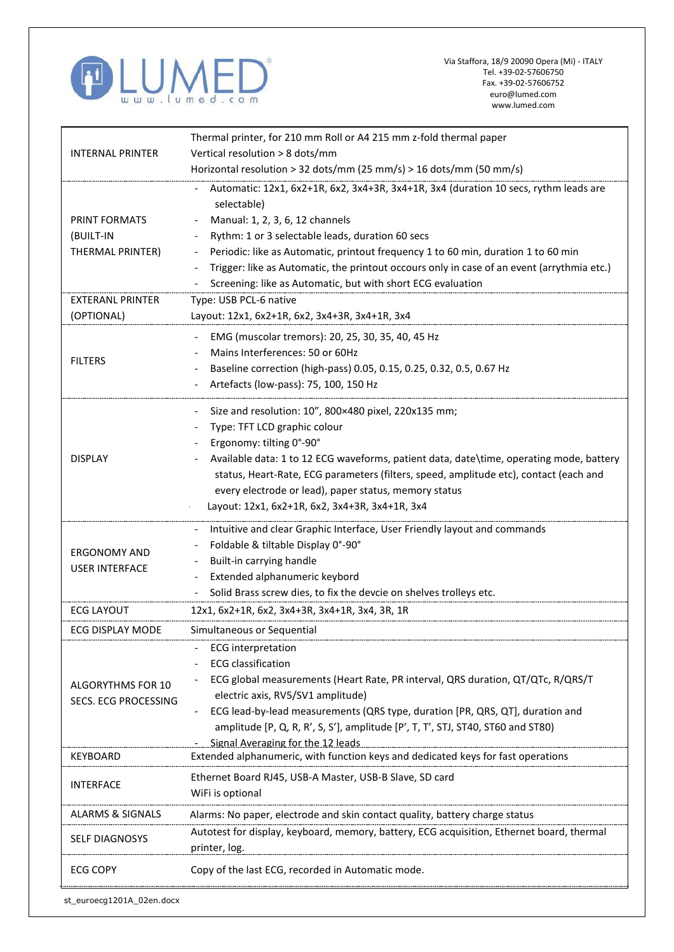

'n

Ŧ

| <b>INTERNAL PRINTER</b>                   | Thermal printer, for 210 mm Roll or A4 215 mm z-fold thermal paper                                                   |
|-------------------------------------------|----------------------------------------------------------------------------------------------------------------------|
|                                           | Vertical resolution > 8 dots/mm                                                                                      |
|                                           | Horizontal resolution > 32 dots/mm (25 mm/s) > 16 dots/mm (50 mm/s)                                                  |
|                                           | Automatic: 12x1, 6x2+1R, 6x2, 3x4+3R, 3x4+1R, 3x4 (duration 10 secs, rythm leads are<br>selectable)                  |
| PRINT FORMATS                             | Manual: 1, 2, 3, 6, 12 channels                                                                                      |
| (BUILT-IN                                 | Rythm: 1 or 3 selectable leads, duration 60 secs                                                                     |
| THERMAL PRINTER)                          | Periodic: like as Automatic, printout frequency 1 to 60 min, duration 1 to 60 min                                    |
|                                           | Trigger: like as Automatic, the printout occours only in case of an event (arrythmia etc.)                           |
|                                           | Screening: like as Automatic, but with short ECG evaluation                                                          |
| <b>EXTERANL PRINTER</b>                   | Type: USB PCL-6 native                                                                                               |
| (OPTIONAL)                                | Layout: 12x1, 6x2+1R, 6x2, 3x4+3R, 3x4+1R, 3x4                                                                       |
|                                           | EMG (muscolar tremors): 20, 25, 30, 35, 40, 45 Hz                                                                    |
| <b>FILTERS</b>                            | Mains Interferences: 50 or 60Hz                                                                                      |
|                                           | Baseline correction (high-pass) 0.05, 0.15, 0.25, 0.32, 0.5, 0.67 Hz                                                 |
|                                           | Artefacts (low-pass): 75, 100, 150 Hz                                                                                |
|                                           | Size and resolution: 10", 800×480 pixel, 220x135 mm;                                                                 |
|                                           | Type: TFT LCD graphic colour                                                                                         |
|                                           | Ergonomy: tilting 0°-90°                                                                                             |
| <b>DISPLAY</b>                            | Available data: 1 to 12 ECG waveforms, patient data, date\time, operating mode, battery                              |
|                                           | status, Heart-Rate, ECG parameters (filters, speed, amplitude etc), contact (each and                                |
|                                           | every electrode or lead), paper status, memory status                                                                |
|                                           | Layout: 12x1, 6x2+1R, 6x2, 3x4+3R, 3x4+1R, 3x4                                                                       |
|                                           |                                                                                                                      |
|                                           | Intuitive and clear Graphic Interface, User Friendly layout and commands                                             |
| <b>ERGONOMY AND</b>                       | Foldable & tiltable Display 0°-90°                                                                                   |
| <b>USER INTERFACE</b>                     | Built-in carrying handle                                                                                             |
|                                           | Extended alphanumeric keybord<br>Solid Brass screw dies, to fix the devcie on shelves trolleys etc.                  |
|                                           |                                                                                                                      |
| <b>ECG LAYOUT</b>                         | 12x1, 6x2+1R, 6x2, 3x4+3R, 3x4+1R, 3x4, 3R, 1R                                                                       |
| ECG DISPLAY MODE                          | Simultaneous or Sequential                                                                                           |
| ALGORYTHMS FOR 10<br>SECS. ECG PROCESSING | <b>ECG</b> interpretation                                                                                            |
|                                           | <b>ECG</b> classification                                                                                            |
|                                           | ECG global measurements (Heart Rate, PR interval, QRS duration, QT/QTc, R/QRS/T                                      |
|                                           | electric axis, RV5/SV1 amplitude)                                                                                    |
|                                           | ECG lead-by-lead measurements (QRS type, duration [PR, QRS, QT], duration and                                        |
|                                           | amplitude [P, Q, R, R', S, S'], amplitude [P', T, T', STJ, ST40, ST60 and ST80)<br>Signal Averaging for the 12 leads |
| <b>KEYBOARD</b>                           | Extended alphanumeric, with function keys and dedicated keys for fast operations                                     |
|                                           | Ethernet Board RJ45, USB-A Master, USB-B Slave, SD card                                                              |
| <b>INTERFACE</b>                          | WiFi is optional                                                                                                     |
|                                           |                                                                                                                      |
| <b>ALARMS &amp; SIGNALS</b>               | Alarms: No paper, electrode and skin contact quality, battery charge status                                          |
| <b>SELF DIAGNOSYS</b>                     | Autotest for display, keyboard, memory, battery, ECG acquisition, Ethernet board, thermal<br>printer, log.           |
| <b>ECG COPY</b>                           | Copy of the last ECG, recorded in Automatic mode.                                                                    |
| st_euroecg1201A_02en.docx                 |                                                                                                                      |